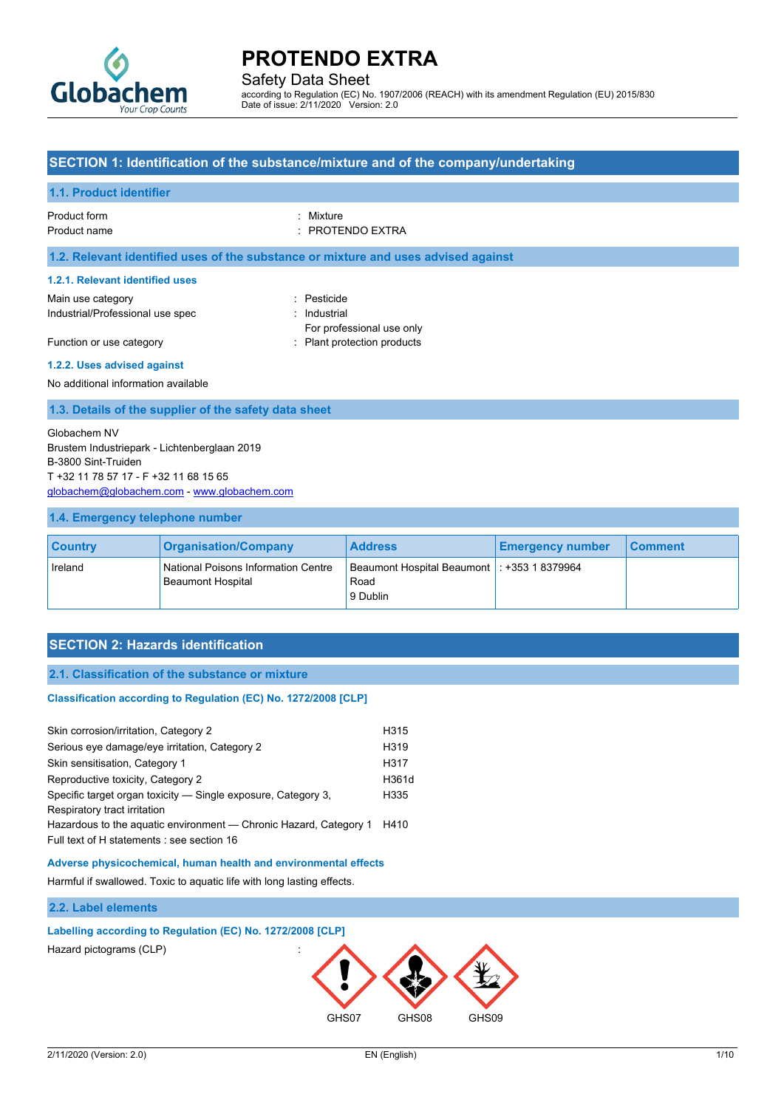

Safety Data Sheet

according to Regulation (EC) No. 1907/2006 (REACH) with its amendment Regulation (EU) 2015/830 Date of issue: 2/11/2020 Version: 2.0

### **SECTION 1: Identification of the substance/mixture and of the company/undertaking**

#### **1.1. Product identifier**

#### Product form **: Mixture** : Mixture

Product name : PROTENDO EXTRA

#### **1.2. Relevant identified uses of the substance or mixture and uses advised against**

#### **1.2.1. Relevant identified uses**

Main use category **in the set of the COV** and the Pesticide Industrial/Professional use spec : Industrial

For professional use only Function or use category **Exercise 20** Flant protection products

#### **1.2.2. Uses advised against** No additional information available

## **1.3. Details of the supplier of the safety data sheet**

Globachem NV Brustem Industriepark - Lichtenberglaan 2019 B-3800 Sint-Truiden T +32 11 78 57 17 - F +32 11 68 15 65 [globachem@globachem.com](mailto:globachem@globachem.com) - <www.globachem.com>

#### **1.4. Emergency telephone number**

| <b>Country</b> | <b>Organisation/Company</b>                                     | <b>Address</b>                                                    | <b>Emergency number</b> | ∣ Comment∶ |
|----------------|-----------------------------------------------------------------|-------------------------------------------------------------------|-------------------------|------------|
| Ireland        | National Poisons Information Centre<br><b>Beaumont Hospital</b> | Beaumont Hospital Beaumont   : +353 1 8379964<br>Road<br>9 Dublin |                         |            |

#### **SECTION 2: Hazards identification**

#### **2.1. Classification of the substance or mixture**

#### Classification according to Regulation (EC) No. 1272/2008 [CLP]

| Skin corrosion/irritation, Category 2                                                                           | H315             |
|-----------------------------------------------------------------------------------------------------------------|------------------|
| Serious eye damage/eye irritation, Category 2                                                                   | H319             |
| Skin sensitisation, Category 1                                                                                  | H317             |
| Reproductive toxicity, Category 2                                                                               | H361d            |
| Specific target organ toxicity — Single exposure, Category 3,<br>Respiratory tract irritation                   | H <sub>335</sub> |
| Hazardous to the aguatic environment - Chronic Hazard, Category 1<br>Full text of H statements : see section 16 | H410             |
|                                                                                                                 |                  |

#### **Adverse physicochemical, human health and environmental effects**

Harmful if swallowed. Toxic to aquatic life with long lasting effects.

#### **2.2. Label elements**

#### **Labelling according to Regulation (EC) No. 1272/2008 [CLP]**

Hazard pictograms (CLP) :

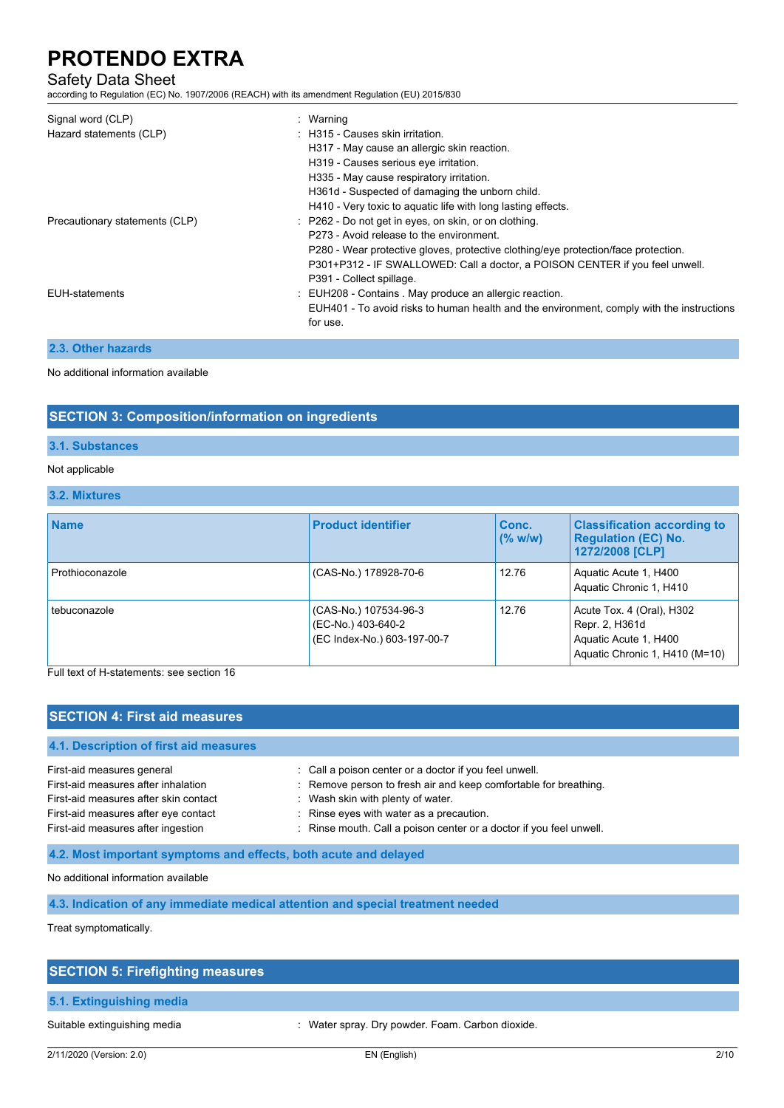#### Safety Data Sheet

according to Regulation (EC) No. 1907/2006 (REACH) with its amendment Regulation (EU) 2015/830

| Signal word (CLP)<br>Hazard statements (CLP) | : Warning<br>: H315 - Causes skin irritation.<br>H317 - May cause an allergic skin reaction.<br>H319 - Causes serious eye irritation.<br>H335 - May cause respiratory irritation.<br>H361d - Suspected of damaging the unborn child.<br>H410 - Very toxic to aquatic life with long lasting effects. |
|----------------------------------------------|------------------------------------------------------------------------------------------------------------------------------------------------------------------------------------------------------------------------------------------------------------------------------------------------------|
| Precautionary statements (CLP)               | : P262 - Do not get in eyes, on skin, or on clothing.<br>P273 - Avoid release to the environment<br>P280 - Wear protective gloves, protective clothing/eye protection/face protection.<br>P301+P312 - IF SWALLOWED: Call a doctor, a POISON CENTER if you feel unwell.<br>P391 - Collect spillage.   |
| <b>EUH-statements</b>                        | : EUH208 - Contains . May produce an allergic reaction.<br>EUH401 - To avoid risks to human health and the environment, comply with the instructions<br>for use.                                                                                                                                     |

#### **2.3. Other hazards**

No additional information available

### **SECTION 3: Composition/information on ingredients**

#### **3.1. Substances**

#### Not applicable

#### **3.2. Mixtures**

| <b>Name</b>     | <b>Product identifier</b>                                                  | Conc.<br>(% w/w) | <b>Classification according to</b><br><b>Regulation (EC) No.</b><br>1272/2008 [CLP]                    |
|-----------------|----------------------------------------------------------------------------|------------------|--------------------------------------------------------------------------------------------------------|
| Prothioconazole | (CAS-No.) 178928-70-6                                                      | 12.76            | Aquatic Acute 1, H400<br>Aquatic Chronic 1, H410                                                       |
| tebuconazole    | (CAS-No.) 107534-96-3<br>(EC-No.) 403-640-2<br>(EC Index-No.) 603-197-00-7 | 12.76            | Acute Tox. 4 (Oral), H302<br>Repr. 2, H361d<br>Aquatic Acute 1, H400<br>Aquatic Chronic 1, H410 (M=10) |

Full text of H-statements: see section 16

### **SECTION 4: First aid measures**

| 4.1. Description of first aid measures |                                                                     |
|----------------------------------------|---------------------------------------------------------------------|
| First-aid measures general             | : Call a poison center or a doctor if you feel unwell.              |
| First-aid measures after inhalation    | : Remove person to fresh air and keep comfortable for breathing.    |
| First-aid measures after skin contact  | : Wash skin with plenty of water.                                   |
| First-aid measures after eye contact   | : Rinse eyes with water as a precaution.                            |
| First-aid measures after ingestion     | : Rinse mouth. Call a poison center or a doctor if you feel unwell. |
|                                        |                                                                     |

**4.2. Most important symptoms and effects, both acute and delayed**

No additional information available

**4.3. Indication of any immediate medical attention and special treatment needed**

Treat symptomatically.

### **SECTION 5: Firefighting measures**

#### **5.1. Extinguishing media**

Suitable extinguishing media **interpretent in the series of the Suitable extinguishing media** in the spray. Dry powder. Foam. Carbon dioxide.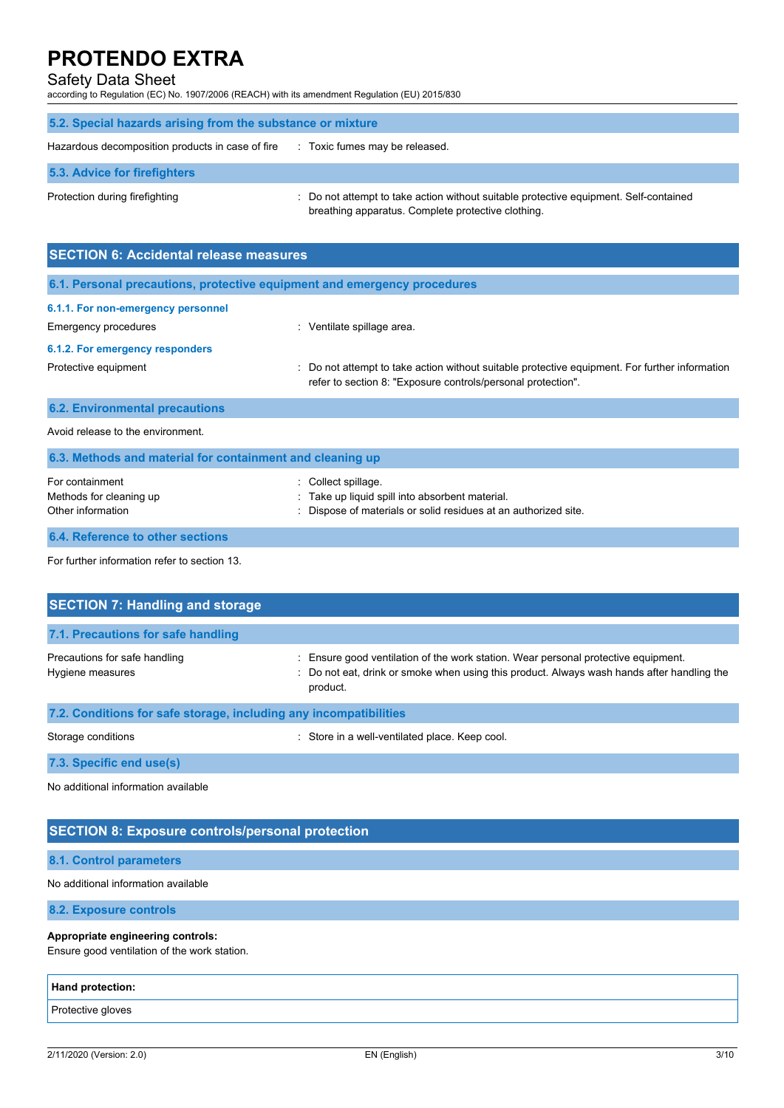### Safety Data Sheet

according to Regulation (EC) No. 1907/2006 (REACH) with its amendment Regulation (EU) 2015/830

| 5.2. Special hazards arising from the substance or mixture |                                                                                                                                             |  |
|------------------------------------------------------------|---------------------------------------------------------------------------------------------------------------------------------------------|--|
| Hazardous decomposition products in case of fire           | : Toxic fumes may be released.                                                                                                              |  |
| 5.3. Advice for firefighters                               |                                                                                                                                             |  |
| Protection during firefighting                             | : Do not attempt to take action without suitable protective equipment. Self-contained<br>breathing apparatus. Complete protective clothing. |  |

| <b>SECTION 6: Accidental release measures</b>                            |                                                                                                                                                              |  |  |
|--------------------------------------------------------------------------|--------------------------------------------------------------------------------------------------------------------------------------------------------------|--|--|
| 6.1. Personal precautions, protective equipment and emergency procedures |                                                                                                                                                              |  |  |
| 6.1.1. For non-emergency personnel                                       |                                                                                                                                                              |  |  |
| Emergency procedures                                                     | : Ventilate spillage area.                                                                                                                                   |  |  |
| 6.1.2. For emergency responders                                          |                                                                                                                                                              |  |  |
| Protective equipment                                                     | Do not attempt to take action without suitable protective equipment. For further information<br>refer to section 8: "Exposure controls/personal protection". |  |  |
| <b>6.2. Environmental precautions</b>                                    |                                                                                                                                                              |  |  |
| Avoid release to the environment.                                        |                                                                                                                                                              |  |  |
| 6.3. Methods and material for containment and cleaning up                |                                                                                                                                                              |  |  |
| For containment<br>Methods for cleaning up<br>Other information          | Collect spillage.<br>Take up liquid spill into absorbent material.<br>Dispose of materials or solid residues at an authorized site.                          |  |  |
|                                                                          |                                                                                                                                                              |  |  |

#### **6.4. Reference to other sections**

For further information refer to section 13.

| <b>SECTION 7: Handling and storage</b>                            |                                                                                                                                                                                            |  |  |
|-------------------------------------------------------------------|--------------------------------------------------------------------------------------------------------------------------------------------------------------------------------------------|--|--|
| 7.1. Precautions for safe handling                                |                                                                                                                                                                                            |  |  |
| Precautions for safe handling<br>Hygiene measures                 | Ensure good ventilation of the work station. Wear personal protective equipment.<br>: Do not eat, drink or smoke when using this product. Always wash hands after handling the<br>product. |  |  |
| 7.2. Conditions for safe storage, including any incompatibilities |                                                                                                                                                                                            |  |  |
| Storage conditions                                                | : Store in a well-ventilated place. Keep cool.                                                                                                                                             |  |  |
| 7.3. Specific end use(s)                                          |                                                                                                                                                                                            |  |  |

No additional information available

### **SECTION 8: Exposure controls/personal protection**

#### **8.1. Control parameters**

#### No additional information available

**8.2. Exposure controls**

#### **Appropriate engineering controls:**

Ensure good ventilation of the work station.

| <b>Hand protection:</b> |  |
|-------------------------|--|
| Protective gloves       |  |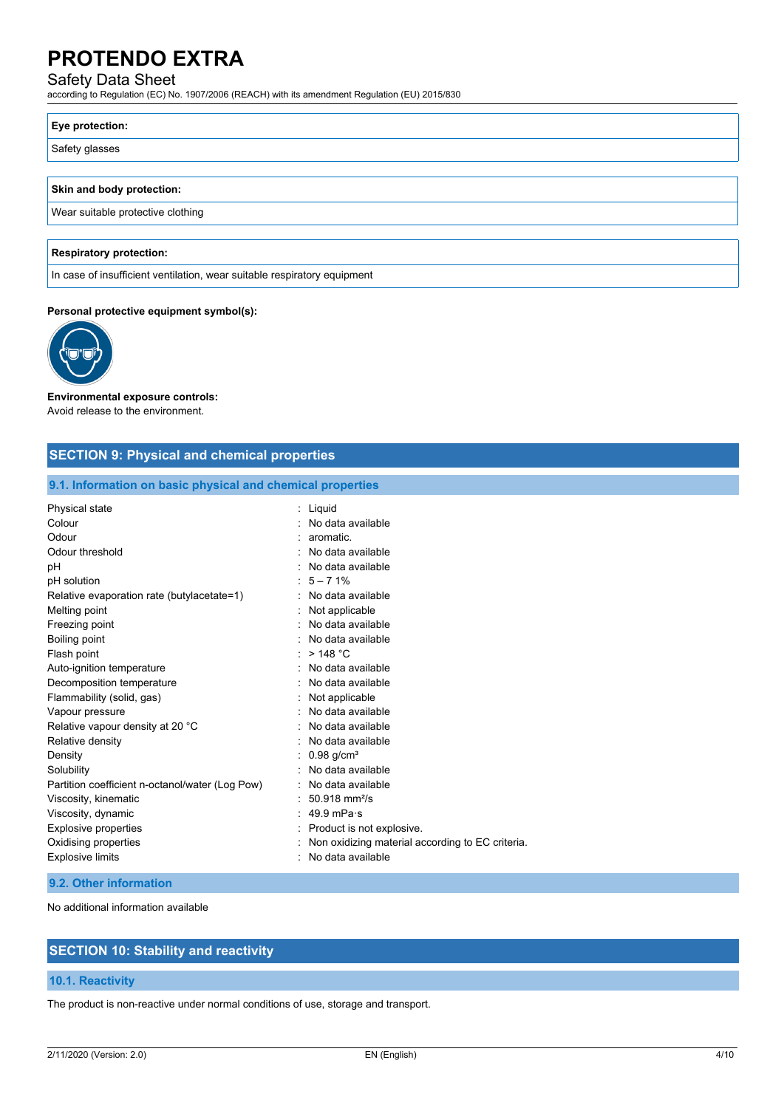#### Safety Data Sheet

according to Regulation (EC) No. 1907/2006 (REACH) with its amendment Regulation (EU) 2015/830

#### **Eye protection:**

Safety glasses

#### **Skin and body protection:**

Wear suitable protective clothing

#### **Respiratory protection:**

In case of insufficient ventilation, wear suitable respiratory equipment

#### **Personal protective equipment symbol(s):**



## **Environmental exposure controls:**

Avoid release to the environment.

### **SECTION 9: Physical and chemical properties**

#### **9.1. Information on basic physical and chemical properties**

| Physical state                                  | $:$ Liquid                                       |
|-------------------------------------------------|--------------------------------------------------|
| Colour                                          | No data available                                |
| Odour                                           | aromatic.                                        |
| Odour threshold                                 | No data available                                |
| pH                                              | No data available                                |
| pH solution                                     | $5 - 71%$                                        |
| Relative evaporation rate (butylacetate=1)      | No data available                                |
| Melting point                                   | Not applicable                                   |
| Freezing point                                  | No data available                                |
| Boiling point                                   | No data available                                |
| Flash point                                     | >148 °C                                          |
| Auto-ignition temperature                       | No data available                                |
| Decomposition temperature                       | No data available                                |
| Flammability (solid, gas)                       | Not applicable                                   |
| Vapour pressure                                 | No data available                                |
| Relative vapour density at 20 °C                | No data available                                |
| Relative density                                | No data available                                |
| Density                                         | $0.98$ g/cm <sup>3</sup>                         |
| Solubility                                      | No data available                                |
| Partition coefficient n-octanol/water (Log Pow) | No data available                                |
| Viscosity, kinematic                            | $50.918$ mm <sup>2</sup> /s                      |
| Viscosity, dynamic                              | 49.9 mPa $\cdot$ s                               |
| Explosive properties                            | Product is not explosive.                        |
| Oxidising properties                            | Non oxidizing material according to EC criteria. |
| <b>Explosive limits</b>                         | No data available                                |
|                                                 |                                                  |

#### **9.2. Other information**

No additional information available

## **SECTION 10: Stability and reactivity**

#### **10.1. Reactivity**

The product is non-reactive under normal conditions of use, storage and transport.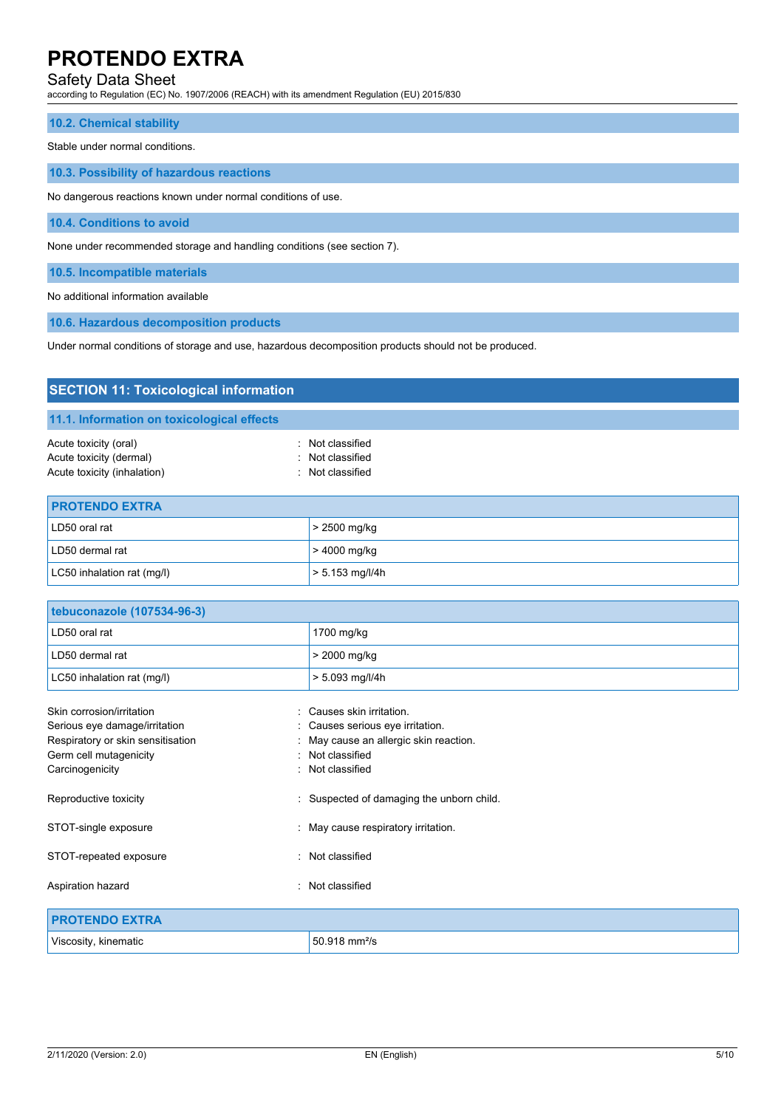#### Safety Data Sheet

according to Regulation (EC) No. 1907/2006 (REACH) with its amendment Regulation (EU) 2015/830

#### **10.2. Chemical stability**

Stable under normal conditions.

#### **10.3. Possibility of hazardous reactions**

No dangerous reactions known under normal conditions of use.

**10.4. Conditions to avoid**

None under recommended storage and handling conditions (see section 7).

LC50 inhalation rat (mg/l)  $\vert$  > 5.153 mg/l/4h

**10.5. Incompatible materials**

No additional information available

**10.6. Hazardous decomposition products**

Under normal conditions of storage and use, hazardous decomposition products should not be produced.

| <b>SECTION 11: Toxicological information</b>                                    |                                                              |  |  |
|---------------------------------------------------------------------------------|--------------------------------------------------------------|--|--|
|                                                                                 | 11.1. Information on toxicological effects                   |  |  |
| Acute toxicity (oral)<br>Acute toxicity (dermal)<br>Acute toxicity (inhalation) | : Not classified<br>: Not classified<br>Not classified<br>×. |  |  |
| <b>PROTENDO EXTRA</b>                                                           |                                                              |  |  |
| LD50 oral rat                                                                   | > 2500 mg/kg                                                 |  |  |
| LD50 dermal rat                                                                 | > 4000 mg/kg                                                 |  |  |

| tebuconazole (107534-96-3)        |                                           |
|-----------------------------------|-------------------------------------------|
| LD50 oral rat                     | 1700 mg/kg                                |
| LD50 dermal rat                   | > 2000 mg/kg                              |
| LC50 inhalation rat (mg/l)        | $> 5.093$ mg/l/4h                         |
| Skin corrosion/irritation         | Causes skin irritation.<br>۰.             |
| Serious eye damage/irritation     | : Causes serious eye irritation.          |
| Respiratory or skin sensitisation | : May cause an allergic skin reaction.    |
| Germ cell mutagenicity            | : Not classified                          |
| Carcinogenicity                   | : Not classified                          |
| Reproductive toxicity             | : Suspected of damaging the unborn child. |
| STOT-single exposure              | : May cause respiratory irritation.       |
| STOT-repeated exposure            | : Not classified                          |
| Aspiration hazard                 | : Not classified                          |
| <b>PROTENDO EXTRA</b>             |                                           |
| Viscosity, kinematic              | 50.918 mm <sup>2</sup> /s                 |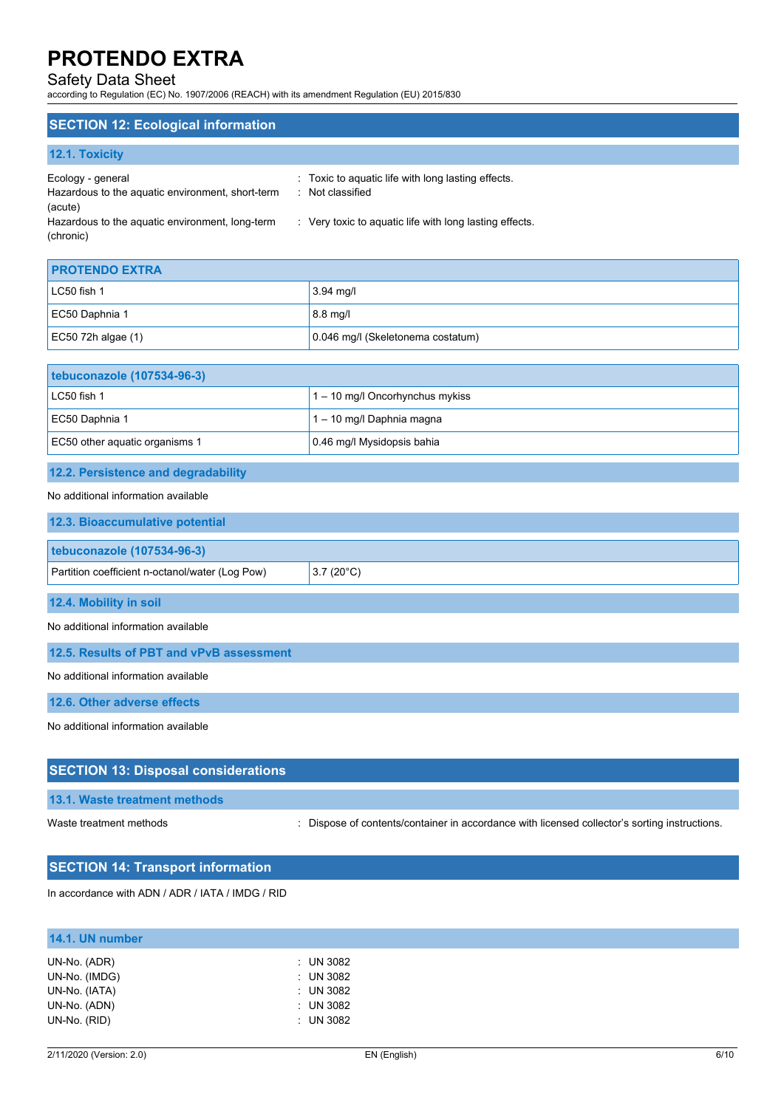#### Safety Data Sheet

according to Regulation (EC) No. 1907/2006 (REACH) with its amendment Regulation (EU) 2015/830

#### **SECTION 12: Ecological information**

| <b>12.1. Toxicity</b>                            |                                                         |
|--------------------------------------------------|---------------------------------------------------------|
| Ecology - general                                | : Toxic to aquatic life with long lasting effects.      |
| Hazardous to the aquatic environment, short-term | : Not classified                                        |
| (acute)                                          |                                                         |
| Hazardous to the aquatic environment, long-term  | : Very toxic to aquatic life with long lasting effects. |
| (chronic)                                        |                                                         |

| <b>PROTENDO EXTRA</b> |                                   |
|-----------------------|-----------------------------------|
| $LC50$ fish 1         | $3.94$ mg/l                       |
| EC50 Daphnia 1        | $8.8$ mg/l                        |
| $EC50$ 72h algae (1)  | 0.046 mg/l (Skeletonema costatum) |

| tebuconazole (107534-96-3)     |                                   |
|--------------------------------|-----------------------------------|
| LC50 fish 1                    | $1 - 10$ mg/l Oncorhynchus mykiss |
| EC50 Daphnia 1                 | 1 - 10 mg/l Daphnia magna         |
| EC50 other aquatic organisms 1 | 0.46 mg/l Mysidopsis bahia        |

#### **12.2. Persistence and degradability**

#### No additional information available

| 12.3. Bioaccumulative potential                 |                    |
|-------------------------------------------------|--------------------|
| tebuconazole (107534-96-3)                      |                    |
| Partition coefficient n-octanol/water (Log Pow) | $3.7(20^{\circ}C)$ |
| 12.4. Mobility in soil                          |                    |

No additional information available

**12.5. Results of PBT and vPvB assessment**

No additional information available

**12.6. Other adverse effects**

No additional information available

## **SECTION 13: Disposal considerations 13.1. Waste treatment methods** Waste treatment methods : Dispose of contents/container in accordance with licensed collector's sorting instructions.

## **SECTION 14: Transport information**

In accordance with ADN / ADR / IATA / IMDG / RID

| 14.1. UN number               |                                     |
|-------------------------------|-------------------------------------|
| UN-No. (ADR)<br>UN-No. (IMDG) | $\therefore$ UN 3082<br>$:$ UN 3082 |
| UN-No. (IATA)                 | $:$ UN 3082                         |
| UN-No. (ADN)<br>UN-No. (RID)  | $:$ UN 3082<br>$:$ UN 3082          |
|                               |                                     |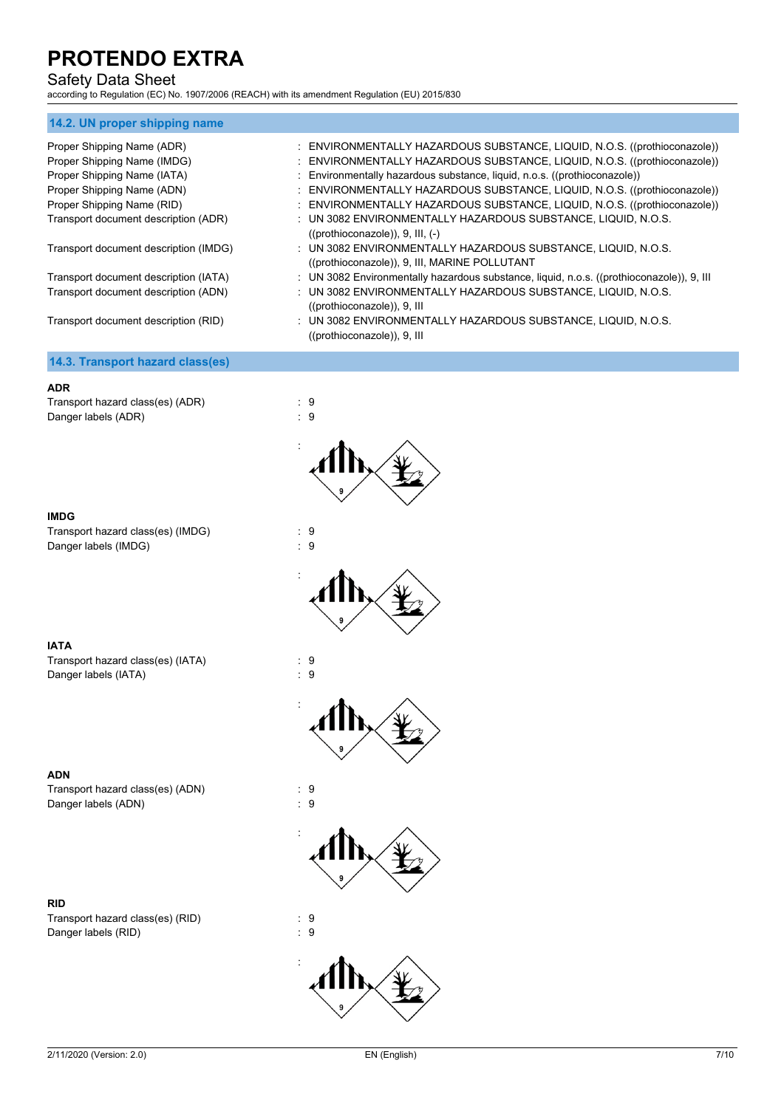### Safety Data Sheet

according to Regulation (EC) No. 1907/2006 (REACH) with its amendment Regulation (EU) 2015/830

#### **14.2. UN proper shipping name**

| Proper Shipping Name (ADR)            | : ENVIRONMENTALLY HAZARDOUS SUBSTANCE, LIQUID, N.O.S. ((prothioconazole))                                      |
|---------------------------------------|----------------------------------------------------------------------------------------------------------------|
| Proper Shipping Name (IMDG)           | : ENVIRONMENTALLY HAZARDOUS SUBSTANCE, LIQUID, N.O.S. ((prothioconazole))                                      |
| Proper Shipping Name (IATA)           | : Environmentally hazardous substance, liquid, n.o.s. ((prothioconazole))                                      |
| Proper Shipping Name (ADN)            | : ENVIRONMENTALLY HAZARDOUS SUBSTANCE, LIQUID, N.O.S. ((prothioconazole))                                      |
| Proper Shipping Name (RID)            | : ENVIRONMENTALLY HAZARDOUS SUBSTANCE, LIQUID, N.O.S. ((prothioconazole))                                      |
| Transport document description (ADR)  | : UN 3082 ENVIRONMENTALLY HAZARDOUS SUBSTANCE, LIQUID, N.O.S.<br>$((prothioconazole))$ , 9, III, $(-)$         |
| Transport document description (IMDG) | : UN 3082 ENVIRONMENTALLY HAZARDOUS SUBSTANCE, LIQUID, N.O.S.<br>((prothioconazole)), 9, III, MARINE POLLUTANT |
| Transport document description (IATA) | : UN 3082 Environmentally hazardous substance, liquid, n.o.s. ((prothioconazole)), 9, III                      |
| Transport document description (ADN)  | : UN 3082 ENVIRONMENTALLY HAZARDOUS SUBSTANCE, LIQUID, N.O.S.<br>((prothioconazole)), 9, III                   |
| Transport document description (RID)  | : UN 3082 ENVIRONMENTALLY HAZARDOUS SUBSTANCE, LIQUID, N.O.S.<br>$((prothioconazole)$ , 9, III                 |
| 14.3. Transport hazard class(es)      |                                                                                                                |
|                                       |                                                                                                                |

#### **ADR**

Transport hazard class(es) (ADR) : 9 Danger labels (ADR) 3 and 3 and 3 and 3 and 3 and 3 and 3 and 3 and 3 and 3 and 3 and 3 and 3 and 3 and 3 and 3 and 3 and 3 and 3 and 3 and 3 and 3 and 3 and 3 and 3 and 3 and 3 and 3 and 3 and 3 and 3 and 3 and 3 and 3 an



Transport hazard class(es) (IMDG) : 9 Danger labels (IMDG)  $\qquad \qquad$  : 9







:







**IATA**

Transport hazard class(es) (IATA) : 9<br>Danger labels (IATA) : 9 Danger labels (IATA)

**ADN**

Transport hazard class(es) (ADN) : 9 Danger labels (ADN) 32 and 20 and 20 and 20 and 20 and 20 and 20 and 20 and 20 and 20 and 20 and 20 and 20 and 20 and 20 and 20 and 20 and 20 and 20 and 20 and 20 and 20 and 20 and 20 and 20 and 20 and 20 and 20 and 20 and

**RID**

Transport hazard class(es) (RID) : 9<br>Danger labels (RID) : 9 Danger labels (RID)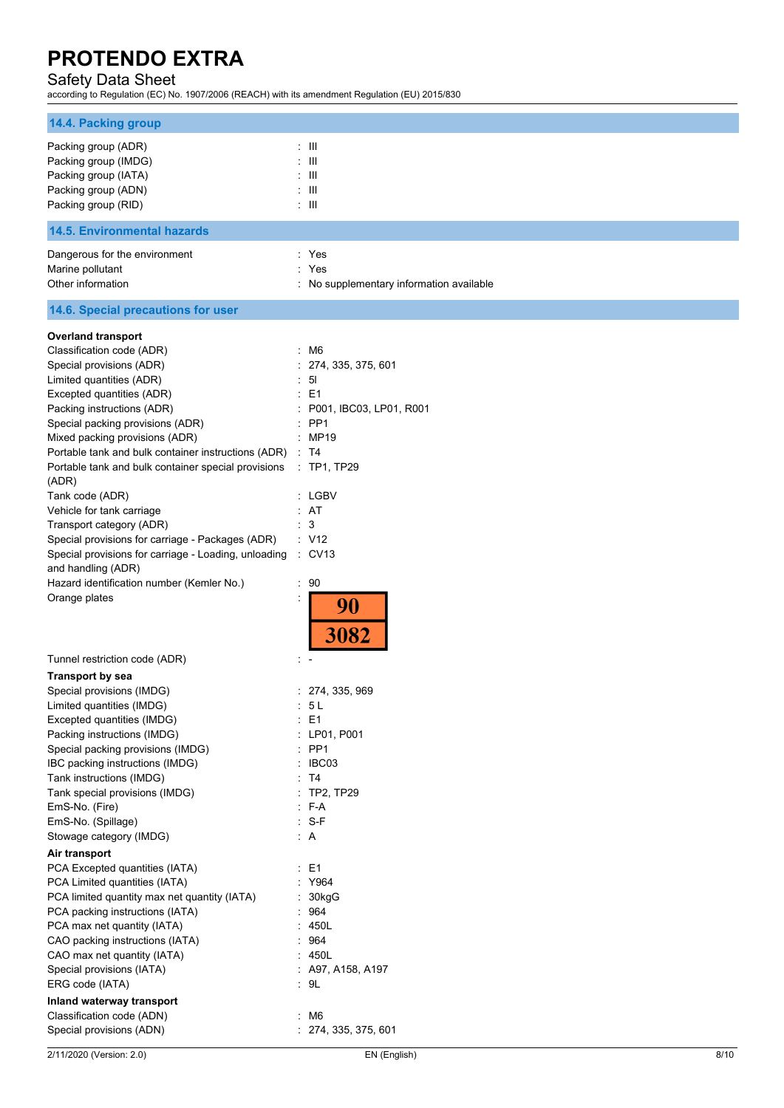#### Safety Data Sheet

according to Regulation (EC) No. 1907/2006 (REACH) with its amendment Regulation (EU) 2015/830

| 14.4. Packing group                                                                   |                                          |
|---------------------------------------------------------------------------------------|------------------------------------------|
| Packing group (ADR)                                                                   | : III                                    |
| Packing group (IMDG)                                                                  | $: \mathbb{H}$                           |
| Packing group (IATA)                                                                  | : 111                                    |
| Packing group (ADN)                                                                   | $: \mathbb{H}$                           |
| Packing group (RID)                                                                   | $\pm$ 111                                |
| <b>14.5. Environmental hazards</b>                                                    |                                          |
| Dangerous for the environment                                                         | : Yes                                    |
| Marine pollutant                                                                      | : Yes                                    |
| Other information                                                                     | : No supplementary information available |
| 14.6. Special precautions for user                                                    |                                          |
| <b>Overland transport</b>                                                             |                                          |
| Classification code (ADR)                                                             | : M6                                     |
| Special provisions (ADR)                                                              | : 274, 335, 375, 601                     |
| Limited quantities (ADR)                                                              | : 51                                     |
| Excepted quantities (ADR)                                                             | : E1                                     |
| Packing instructions (ADR)                                                            | : P001, IBC03, LP01, R001                |
| Special packing provisions (ADR)                                                      | $:$ PP1                                  |
| Mixed packing provisions (ADR)<br>Portable tank and bulk container instructions (ADR) | : MP19<br>$\therefore$ T4                |
| Portable tank and bulk container special provisions<br>(ADR)                          | : TP1, TP29                              |
| Tank code (ADR)                                                                       | : LGBV                                   |
| Vehicle for tank carriage                                                             | : AT                                     |
| Transport category (ADR)                                                              | 3                                        |
| Special provisions for carriage - Packages (ADR)                                      | $\cdot$ V12                              |
| Special provisions for carriage - Loading, unloading                                  | $\therefore$ CV13                        |
| and handling (ADR)                                                                    |                                          |
| Hazard identification number (Kemler No.)                                             | : 90                                     |
| Orange plates                                                                         | $\ddot{\cdot}$<br>90<br>3082             |
| Tunnel restriction code (ADR)                                                         | t –                                      |
| <b>Transport by sea</b>                                                               |                                          |
| Special provisions (IMDG)                                                             | : 274, 335, 969                          |
| Limited quantities (IMDG)                                                             | t,<br>5 <sub>L</sub>                     |
| Excepted quantities (IMDG)                                                            | : E1                                     |
| Packing instructions (IMDG)                                                           | : LP01, P001                             |
| Special packing provisions (IMDG)                                                     | $:$ PP1                                  |
| IBC packing instructions (IMDG)                                                       | : IBC03                                  |
| Tank instructions (IMDG)<br>Tank special provisions (IMDG)                            | : T4<br>$:$ TP2, TP29                    |
| EmS-No. (Fire)                                                                        | : F-A                                    |
| EmS-No. (Spillage)                                                                    | $: S-F$                                  |
| Stowage category (IMDG)                                                               | $\cdot$ A                                |
| Air transport                                                                         |                                          |
| PCA Excepted quantities (IATA)                                                        | $\therefore$ E1                          |
| PCA Limited quantities (IATA)                                                         | : Y964                                   |
| PCA limited quantity max net quantity (IATA)                                          | : 30kgG                                  |
| PCA packing instructions (IATA)                                                       | : 964                                    |
| PCA max net quantity (IATA)                                                           | : 450L                                   |
| CAO packing instructions (IATA)                                                       | : 964                                    |
| CAO max net quantity (IATA)                                                           | : 450L                                   |
| Special provisions (IATA)                                                             | : A97, A158, A197                        |
| ERG code (IATA)                                                                       | .9L                                      |
| Inland waterway transport                                                             |                                          |
| Classification code (ADN)                                                             | : M6                                     |
| Special provisions (ADN)                                                              | : 274, 335, 375, 601                     |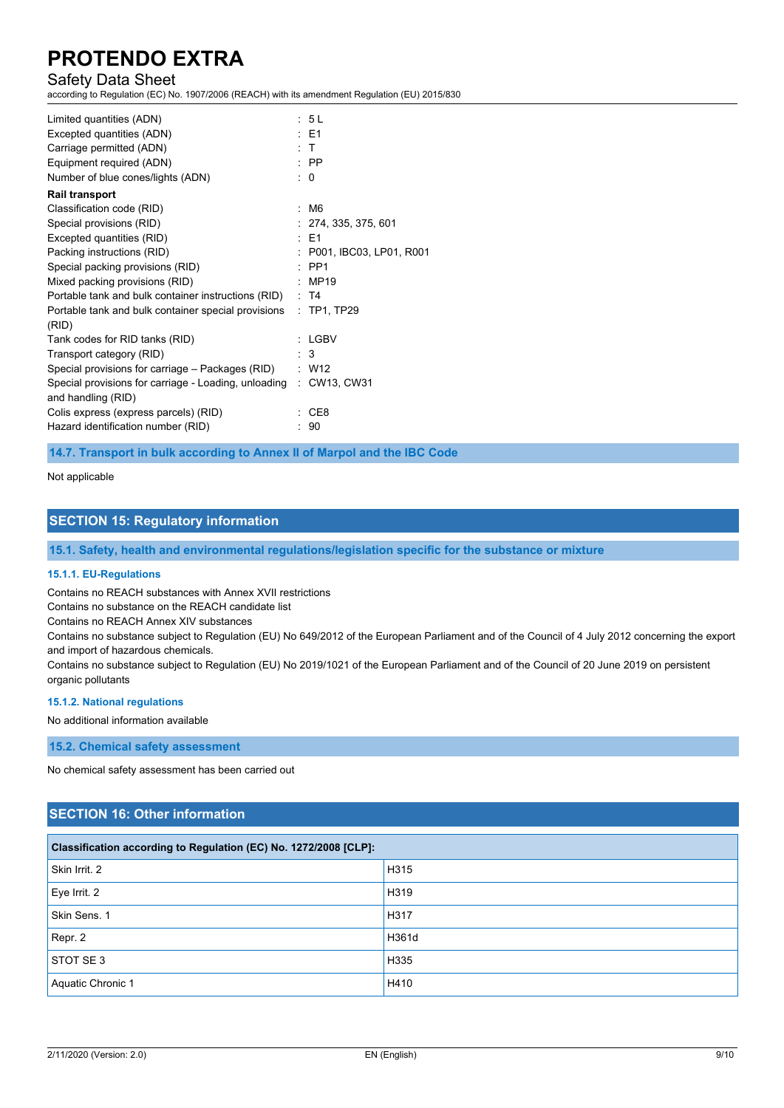#### Safety Data Sheet

according to Regulation (EC) No. 1907/2006 (REACH) with its amendment Regulation (EU) 2015/830

| Limited quantities (ADN)                                          | : 5L                      |
|-------------------------------------------------------------------|---------------------------|
| Excepted quantities (ADN)                                         | $\pm$ E1                  |
| Carriage permitted (ADN)                                          | $\pm$ T                   |
| Equipment required (ADN)                                          | $\therefore$ PP           |
| Number of blue cones/lights (ADN)                                 | $\therefore$ 0            |
| <b>Rail transport</b>                                             |                           |
| Classification code (RID)                                         | : M6                      |
| Special provisions (RID)                                          | : 274, 335, 375, 601      |
| Excepted quantities (RID)                                         | $\pm$ E1                  |
| Packing instructions (RID)                                        | : P001, IBC03, LP01, R001 |
| Special packing provisions (RID)                                  | $\cdot$ PP1               |
| Mixed packing provisions (RID)                                    | $\therefore$ MP19         |
| Portable tank and bulk container instructions (RID) : T4          |                           |
| Portable tank and bulk container special provisions : TP1, TP29   |                           |
| (RID)                                                             |                           |
| Tank codes for RID tanks (RID)                                    | : LGBV                    |
| Transport category (RID)                                          | $\therefore$ 3            |
| Special provisions for carriage – Packages (RID)                  | $\therefore$ W12          |
| Special provisions for carriage - Loading, unloading : CW13, CW31 |                           |
| and handling (RID)                                                |                           |
| Colis express (express parcels) (RID)                             | CE8                       |
| Hazard identification number (RID)                                | $\div$ 90                 |
|                                                                   |                           |

**14.7. Transport in bulk according to Annex II of Marpol and the IBC Code**

Not applicable

#### **SECTION 15: Regulatory information**

**15.1. Safety, health and environmental regulations/legislation specific for the substance or mixture**

#### **15.1.1. EU-Regulations**

Contains no REACH substances with Annex XVII restrictions

Contains no substance on the REACH candidate list

Contains no REACH Annex XIV substances

Contains no substance subject to Regulation (EU) No 649/2012 of the European Parliament and of the Council of 4 July 2012 concerning the export and import of hazardous chemicals.

Contains no substance subject to Regulation (EU) No 2019/1021 of the European Parliament and of the Council of 20 June 2019 on persistent organic pollutants

#### **15.1.2. National regulations**

No additional information available

**15.2. Chemical safety assessment**

No chemical safety assessment has been carried out

### **SECTION 16: Other information**

| Classification according to Regulation (EC) No. 1272/2008 [CLP]: |       |  |
|------------------------------------------------------------------|-------|--|
| Skin Irrit. 2                                                    | H315  |  |
| Eye Irrit. 2                                                     | H319  |  |
| Skin Sens. 1                                                     | H317  |  |
| Repr. 2                                                          | H361d |  |
| STOT SE 3                                                        | H335  |  |
| Aquatic Chronic 1                                                | H410  |  |